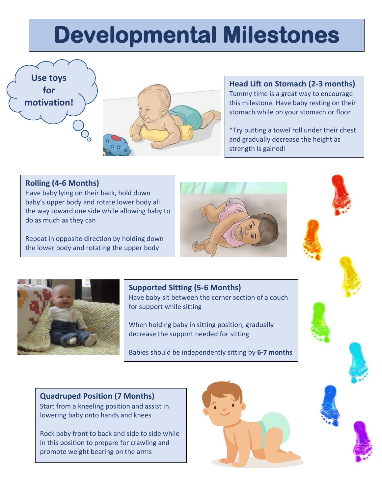## **Developmental Milestones**





### **Head Lift on Stomach (2-3 months)**

Tummy time is a great way to encourage this milestone. Have baby resting on their stomach while on your stomach or floor

\*Try putting a towel roll under their chest and gradually decrease the height as strength is gained!

### **Rolling (4-6 Months)**

Have baby lying on their back, hold down baby's upper body and rotate lower body all the way toward one side while allowing baby to do as much as they can

Repeat in opposite direction by holding down the lower body and rotating the upper body





### **Supported Sitting (5-6 Months)**

Have baby sit between the corner section of a couch for support while sitting

When holding baby in sitting position, gradually decrease the support needed for sitting

Babies should be independently sitting by **6-7 months**

**Quadruped Position (7 Months)**  Start from a kneeling position and assist in lowering baby onto hands and knees

Rock baby front to back and side to side while in this position to prepare for crawling and promote weight bearing on the arms